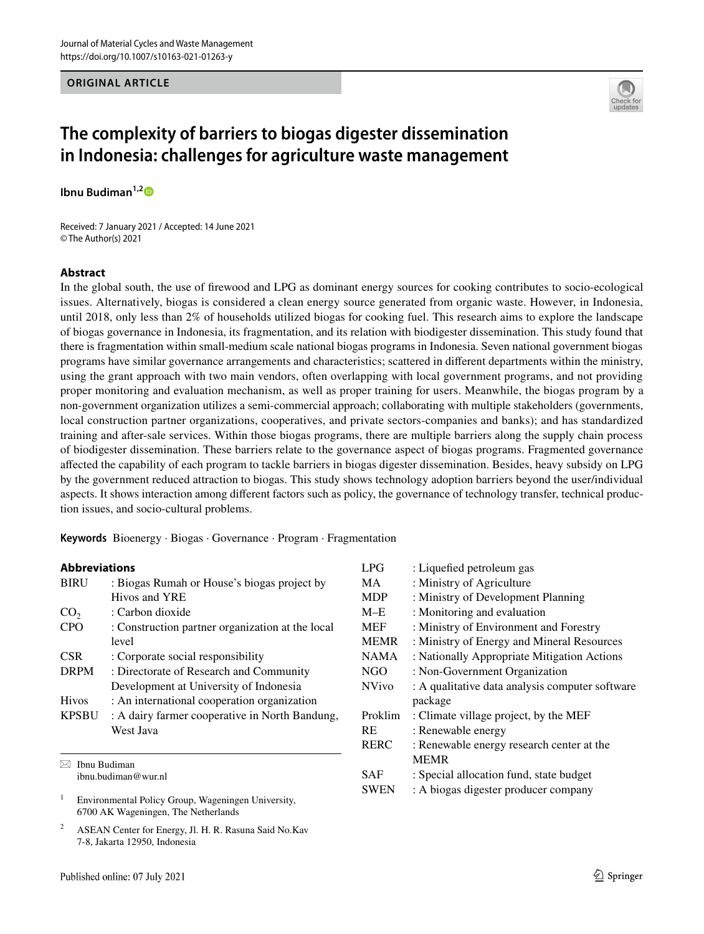## **ORIGINAL ARTICLE**



# **The complexity of barriers to biogas digester dissemination in Indonesia: challenges for agriculture waste management**

**Ibnu Budiman1,[2](http://orcid.org/0000-0002-9128-0866)**

Received: 7 January 2021 / Accepted: 14 June 2021 © The Author(s) 2021

## **Abstract**

In the global south, the use of frewood and LPG as dominant energy sources for cooking contributes to socio-ecological issues. Alternatively, biogas is considered a clean energy source generated from organic waste. However, in Indonesia, until 2018, only less than 2% of households utilized biogas for cooking fuel. This research aims to explore the landscape of biogas governance in Indonesia, its fragmentation, and its relation with biodigester dissemination. This study found that there is fragmentation within small-medium scale national biogas programs in Indonesia. Seven national government biogas programs have similar governance arrangements and characteristics; scattered in diferent departments within the ministry, using the grant approach with two main vendors, often overlapping with local government programs, and not providing proper monitoring and evaluation mechanism, as well as proper training for users. Meanwhile, the biogas program by a non-government organization utilizes a semi-commercial approach; collaborating with multiple stakeholders (governments, local construction partner organizations, cooperatives, and private sectors-companies and banks); and has standardized training and after-sale services. Within those biogas programs, there are multiple barriers along the supply chain process of biodigester dissemination. These barriers relate to the governance aspect of biogas programs. Fragmented governance afected the capability of each program to tackle barriers in biogas digester dissemination. Besides, heavy subsidy on LPG by the government reduced attraction to biogas. This study shows technology adoption barriers beyond the user/individual aspects. It shows interaction among diferent factors such as policy, the governance of technology transfer, technical production issues, and socio-cultural problems.

**Keywords** Bioenergy · Biogas · Governance · Program · Fragmentation

## **Abbreviations**

| <b>BIRU</b>     | : Biogas Rumah or House's biogas project by<br>Hivos and YRE |
|-----------------|--------------------------------------------------------------|
| CO <sub>2</sub> | : Carbon dioxide                                             |
| <b>CPO</b>      | : Construction partner organization at the local             |
|                 | level                                                        |
| <b>CSR</b>      | : Corporate social responsibility                            |
| <b>DRPM</b>     | : Directorate of Research and Community                      |
|                 | Development at University of Indonesia                       |
| <b>Hivos</b>    | : An international cooperation organization                  |
| <b>KPSBU</b>    | : A dairy farmer cooperative in North Bandung,               |
|                 | West Java                                                    |
|                 |                                                              |

 $\boxtimes$  Ibnu Budiman ibnu.budiman@wur.nl

<sup>1</sup> Environmental Policy Group, Wageningen University, 6700 AK Wageningen, The Netherlands

<sup>2</sup> ASEAN Center for Energy, Jl. H. R. Rasuna Said No.Kav 7-8, Jakarta 12950, Indonesia

| LPG          | : Liquefied petroleum gas                       |
|--------------|-------------------------------------------------|
| MA.          | : Ministry of Agriculture                       |
| <b>MDP</b>   | : Ministry of Development Planning              |
| M–E          | : Monitoring and evaluation                     |
| <b>MEF</b>   | : Ministry of Environment and Forestry          |
| <b>MEMR</b>  | : Ministry of Energy and Mineral Resources      |
| <b>NAMA</b>  | : Nationally Appropriate Mitigation Actions     |
| NGO          | : Non-Government Organization                   |
| <b>NVivo</b> | : A qualitative data analysis computer software |
|              | package                                         |
| Proklim      | : Climate village project, by the MEF           |
| <b>RE</b>    | : Renewable energy                              |
| <b>RERC</b>  | : Renewable energy research center at the       |
|              | <b>MEMR</b>                                     |
| SAF          | : Special allocation fund, state budget         |
| <b>SWEN</b>  | : A biogas digester producer company            |
|              |                                                 |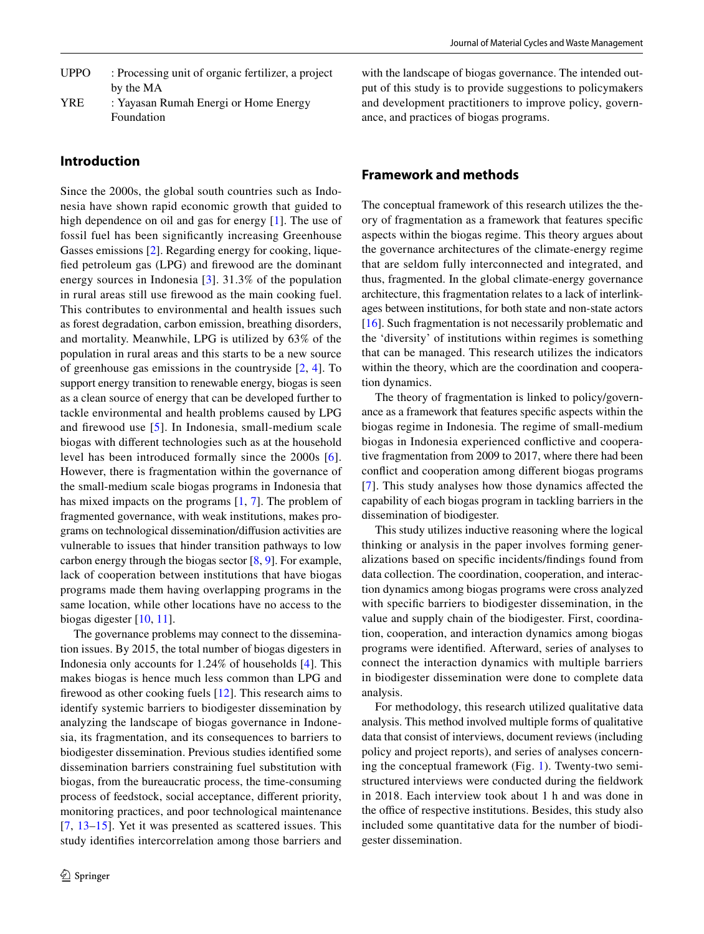- UPPO : Processing unit of organic fertilizer, a project by the MA
- YRE : Yayasan Rumah Energi or Home Energy Foundation

# **Introduction**

Since the 2000s, the global south countries such as Indonesia have shown rapid economic growth that guided to high dependence on oil and gas for energy [[1\]](#page-11-0). The use of fossil fuel has been signifcantly increasing Greenhouse Gasses emissions [\[2](#page-11-1)]. Regarding energy for cooking, liquefed petroleum gas (LPG) and frewood are the dominant energy sources in Indonesia [\[3](#page-11-2)]. 31.3% of the population in rural areas still use frewood as the main cooking fuel. This contributes to environmental and health issues such as forest degradation, carbon emission, breathing disorders, and mortality. Meanwhile, LPG is utilized by 63% of the population in rural areas and this starts to be a new source of greenhouse gas emissions in the countryside [\[2,](#page-11-1) [4](#page-11-3)]. To support energy transition to renewable energy, biogas is seen as a clean source of energy that can be developed further to tackle environmental and health problems caused by LPG and frewood use [\[5\]](#page-11-4). In Indonesia, small-medium scale biogas with diferent technologies such as at the household level has been introduced formally since the 2000s [[6](#page-11-5)]. However, there is fragmentation within the governance of the small-medium scale biogas programs in Indonesia that has mixed impacts on the programs [[1,](#page-11-0) [7](#page-11-6)]. The problem of fragmented governance, with weak institutions, makes programs on technological dissemination/difusion activities are vulnerable to issues that hinder transition pathways to low carbon energy through the biogas sector [[8,](#page-11-7) [9](#page-11-8)]. For example, lack of cooperation between institutions that have biogas programs made them having overlapping programs in the same location, while other locations have no access to the biogas digester [\[10](#page-11-9), [11\]](#page-11-10).

The governance problems may connect to the dissemination issues. By 2015, the total number of biogas digesters in Indonesia only accounts for 1.24% of households [\[4](#page-11-3)]. This makes biogas is hence much less common than LPG and frewood as other cooking fuels [\[12](#page-11-11)]. This research aims to identify systemic barriers to biodigester dissemination by analyzing the landscape of biogas governance in Indonesia, its fragmentation, and its consequences to barriers to biodigester dissemination. Previous studies identifed some dissemination barriers constraining fuel substitution with biogas, from the bureaucratic process, the time-consuming process of feedstock, social acceptance, diferent priority, monitoring practices, and poor technological maintenance [[7,](#page-11-6) [13–](#page-11-12)[15](#page-11-13)]. Yet it was presented as scattered issues. This study identifes intercorrelation among those barriers and

with the landscape of biogas governance. The intended output of this study is to provide suggestions to policymakers and development practitioners to improve policy, governance, and practices of biogas programs.

# **Framework and methods**

The conceptual framework of this research utilizes the theory of fragmentation as a framework that features specifc aspects within the biogas regime. This theory argues about the governance architectures of the climate-energy regime that are seldom fully interconnected and integrated, and thus, fragmented. In the global climate-energy governance architecture, this fragmentation relates to a lack of interlinkages between institutions, for both state and non-state actors [\[16\]](#page-11-14). Such fragmentation is not necessarily problematic and the 'diversity' of institutions within regimes is something that can be managed. This research utilizes the indicators within the theory, which are the coordination and cooperation dynamics.

The theory of fragmentation is linked to policy/governance as a framework that features specifc aspects within the biogas regime in Indonesia. The regime of small-medium biogas in Indonesia experienced confictive and cooperative fragmentation from 2009 to 2017, where there had been confict and cooperation among diferent biogas programs [[7\]](#page-11-6). This study analyses how those dynamics afected the capability of each biogas program in tackling barriers in the dissemination of biodigester.

This study utilizes inductive reasoning where the logical thinking or analysis in the paper involves forming generalizations based on specifc incidents/fndings found from data collection. The coordination, cooperation, and interaction dynamics among biogas programs were cross analyzed with specifc barriers to biodigester dissemination, in the value and supply chain of the biodigester. First, coordination, cooperation, and interaction dynamics among biogas programs were identifed. Afterward, series of analyses to connect the interaction dynamics with multiple barriers in biodigester dissemination were done to complete data analysis.

For methodology, this research utilized qualitative data analysis. This method involved multiple forms of qualitative data that consist of interviews, document reviews (including policy and project reports), and series of analyses concerning the conceptual framework (Fig. [1\)](#page-2-0). Twenty-two semistructured interviews were conducted during the feldwork in 2018. Each interview took about 1 h and was done in the office of respective institutions. Besides, this study also included some quantitative data for the number of biodigester dissemination.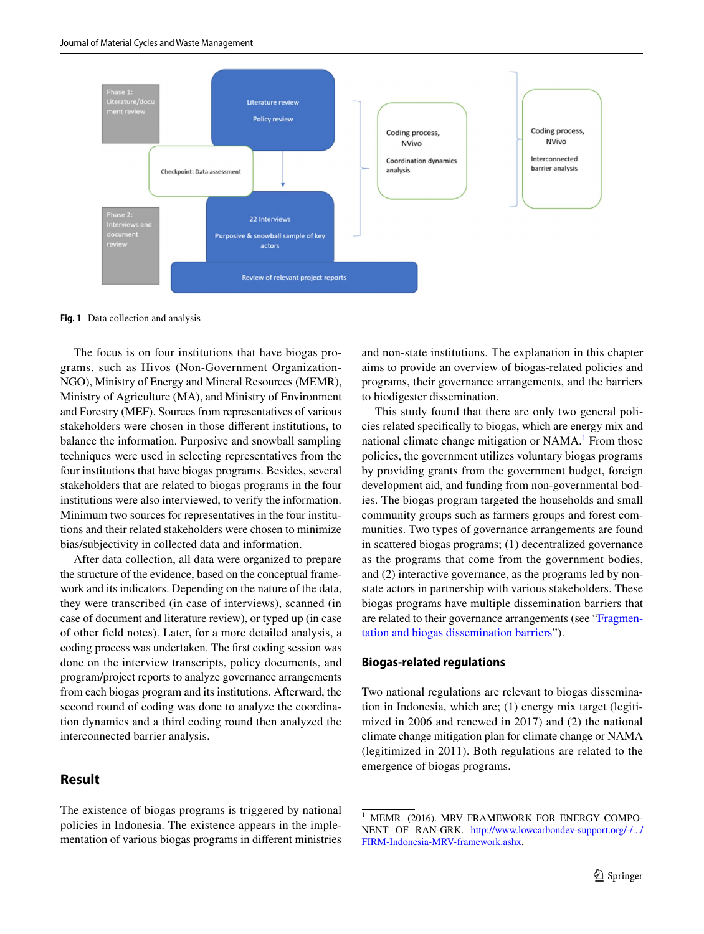

<span id="page-2-0"></span>**Fig. 1** Data collection and analysis

The focus is on four institutions that have biogas programs, such as Hivos (Non-Government Organization-NGO), Ministry of Energy and Mineral Resources (MEMR), Ministry of Agriculture (MA), and Ministry of Environment and Forestry (MEF). Sources from representatives of various stakeholders were chosen in those diferent institutions, to balance the information. Purposive and snowball sampling techniques were used in selecting representatives from the four institutions that have biogas programs. Besides, several stakeholders that are related to biogas programs in the four institutions were also interviewed, to verify the information. Minimum two sources for representatives in the four institutions and their related stakeholders were chosen to minimize bias/subjectivity in collected data and information.

After data collection, all data were organized to prepare the structure of the evidence, based on the conceptual framework and its indicators. Depending on the nature of the data, they were transcribed (in case of interviews), scanned (in case of document and literature review), or typed up (in case of other feld notes). Later, for a more detailed analysis, a coding process was undertaken. The frst coding session was done on the interview transcripts, policy documents, and program/project reports to analyze governance arrangements from each biogas program and its institutions. Afterward, the second round of coding was done to analyze the coordination dynamics and a third coding round then analyzed the interconnected barrier analysis.

# **Result**

The existence of biogas programs is triggered by national policies in Indonesia. The existence appears in the implementation of various biogas programs in diferent ministries and non-state institutions. The explanation in this chapter aims to provide an overview of biogas-related policies and programs, their governance arrangements, and the barriers to biodigester dissemination.

This study found that there are only two general policies related specifcally to biogas, which are energy mix and national climate change mitigation or NAMA.<sup>[1](#page-2-1)</sup> From those policies, the government utilizes voluntary biogas programs by providing grants from the government budget, foreign development aid, and funding from non-governmental bodies. The biogas program targeted the households and small community groups such as farmers groups and forest communities. Two types of governance arrangements are found in scattered biogas programs; (1) decentralized governance as the programs that come from the government bodies, and (2) interactive governance, as the programs led by nonstate actors in partnership with various stakeholders. These biogas programs have multiple dissemination barriers that are related to their governance arrangements (see "[Fragmen](#page-4-0)[tation and biogas dissemination barriers"](#page-4-0)).

## **Biogas‑related regulations**

Two national regulations are relevant to biogas dissemination in Indonesia, which are; (1) energy mix target (legitimized in 2006 and renewed in 2017) and (2) the national climate change mitigation plan for climate change or NAMA (legitimized in 2011). Both regulations are related to the emergence of biogas programs.

<span id="page-2-1"></span>MEMR. (2016). MRV FRAMEWORK FOR ENERGY COMPO-NENT OF RAN-GRK. [http://www.lowcarbondev-support.org/-/.../](http://www.lowcarbondev-support.org/-/.../FIRM-Indonesia-MRV-framework.ashx) [FIRM-Indonesia-MRV-framework.ashx](http://www.lowcarbondev-support.org/-/.../FIRM-Indonesia-MRV-framework.ashx).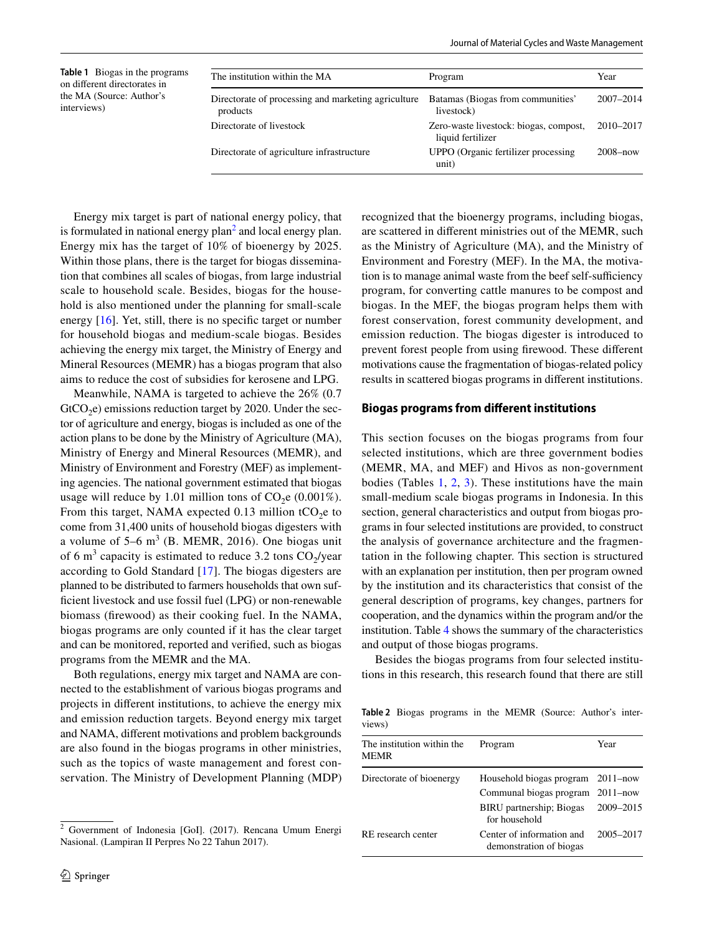<span id="page-3-1"></span>

| <b>Table 1</b> Biogas in the programs<br>on different directorates in | The institution within the MA                                   | Program                                                     | Year          |
|-----------------------------------------------------------------------|-----------------------------------------------------------------|-------------------------------------------------------------|---------------|
| the MA (Source: Author's<br>interviews)                               | Directorate of processing and marketing agriculture<br>products | Batamas (Biogas from communities'<br>livestock)             | $2007 - 2014$ |
|                                                                       | Directorate of livestock                                        | Zero-waste livestock: biogas, compost,<br>liquid fertilizer | 2010-2017     |
|                                                                       | Directorate of agriculture infrastructure                       | UPPO (Organic fertilizer processing)<br>unit)               | $2008 - now$  |

Energy mix target is part of national energy policy, that is formulated in national energy plan<sup>[2](#page-3-0)</sup> and local energy plan. Energy mix has the target of 10% of bioenergy by 2025. Within those plans, there is the target for biogas dissemination that combines all scales of biogas, from large industrial scale to household scale. Besides, biogas for the household is also mentioned under the planning for small-scale energy [\[16\]](#page-11-14). Yet, still, there is no specific target or number for household biogas and medium-scale biogas. Besides achieving the energy mix target, the Ministry of Energy and Mineral Resources (MEMR) has a biogas program that also aims to reduce the cost of subsidies for kerosene and LPG.

Meanwhile, NAMA is targeted to achieve the 26% (0.7  $GtCO<sub>2</sub>e$ ) emissions reduction target by 2020. Under the sector of agriculture and energy, biogas is included as one of the action plans to be done by the Ministry of Agriculture (MA), Ministry of Energy and Mineral Resources (MEMR), and Ministry of Environment and Forestry (MEF) as implementing agencies. The national government estimated that biogas usage will reduce by 1.01 million tons of  $CO<sub>2</sub>e (0.001\%)$ . From this target, NAMA expected 0.13 million tCO<sub>2</sub>e to come from 31,400 units of household biogas digesters with a volume of  $5-6$  m<sup>3</sup> (B. MEMR, 2016). One biogas unit of 6 m<sup>3</sup> capacity is estimated to reduce 3.2 tons  $CO_2$ /year according to Gold Standard [[17\]](#page-11-15). The biogas digesters are planned to be distributed to farmers households that own suffcient livestock and use fossil fuel (LPG) or non-renewable biomass (frewood) as their cooking fuel. In the NAMA, biogas programs are only counted if it has the clear target and can be monitored, reported and verifed, such as biogas programs from the MEMR and the MA.

Both regulations, energy mix target and NAMA are connected to the establishment of various biogas programs and projects in diferent institutions, to achieve the energy mix and emission reduction targets. Beyond energy mix target and NAMA, diferent motivations and problem backgrounds are also found in the biogas programs in other ministries, such as the topics of waste management and forest conservation. The Ministry of Development Planning (MDP) recognized that the bioenergy programs, including biogas, are scattered in diferent ministries out of the MEMR, such as the Ministry of Agriculture (MA), and the Ministry of Environment and Forestry (MEF). In the MA, the motivation is to manage animal waste from the beef self-sufficiency program, for converting cattle manures to be compost and biogas. In the MEF, the biogas program helps them with forest conservation, forest community development, and emission reduction. The biogas digester is introduced to prevent forest people from using frewood. These diferent motivations cause the fragmentation of biogas-related policy results in scattered biogas programs in diferent institutions.

#### **Biogas programs from diferent institutions**

This section focuses on the biogas programs from four selected institutions, which are three government bodies (MEMR, MA, and MEF) and Hivos as non-government bodies (Tables [1,](#page-3-1) [2,](#page-3-2) [3](#page-4-1)). These institutions have the main small-medium scale biogas programs in Indonesia. In this section, general characteristics and output from biogas programs in four selected institutions are provided, to construct the analysis of governance architecture and the fragmentation in the following chapter. This section is structured with an explanation per institution, then per program owned by the institution and its characteristics that consist of the general description of programs, key changes, partners for cooperation, and the dynamics within the program and/or the institution. Table [4](#page-5-0) shows the summary of the characteristics and output of those biogas programs.

Besides the biogas programs from four selected institutions in this research, this research found that there are still

<span id="page-3-2"></span>**Table 2** Biogas programs in the MEMR (Source: Author's interviews)

| The institution within the<br><b>MEMR</b> | Program                                                                                          | Year                                      |
|-------------------------------------------|--------------------------------------------------------------------------------------------------|-------------------------------------------|
| Directorate of bioenergy                  | Household biogas program<br>Communal biogas program<br>BIRU partnership; Biogas<br>for household | $2011 - now$<br>$2011 - now$<br>2009-2015 |
| RE research center                        | Center of information and<br>demonstration of biogas                                             | 2005-2017                                 |

<span id="page-3-0"></span> $2$  Government of Indonesia [GoI]. (2017). Rencana Umum Energi Nasional. (Lampiran II Perpres No 22 Tahun 2017).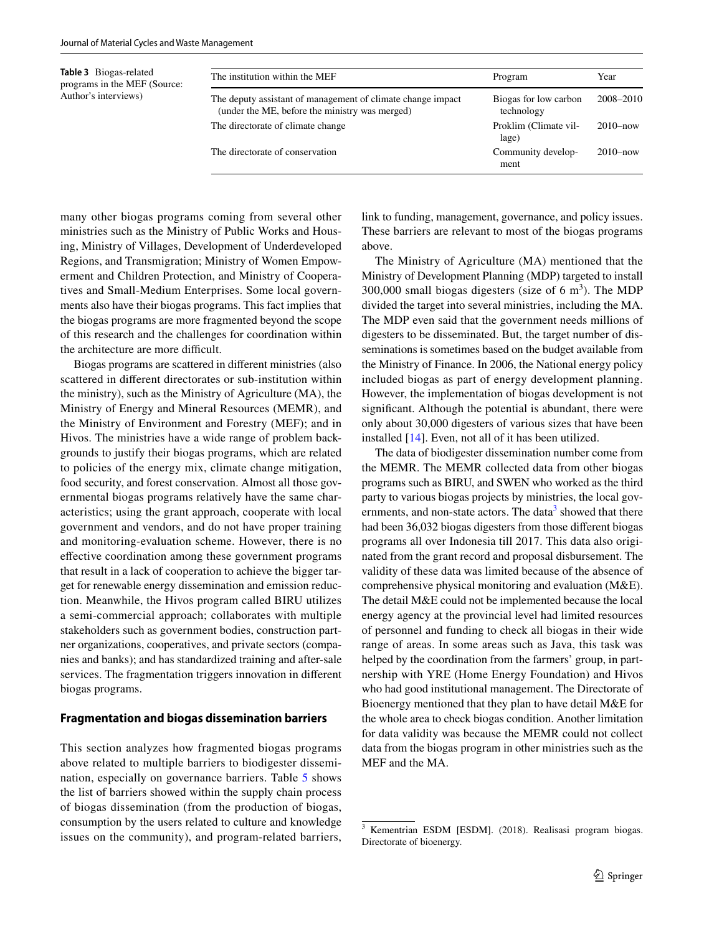<span id="page-4-1"></span>**Table 3** Biogas-related programs in the MEF (Source: Author's interviews)

| The institution within the MEF                                                                                | Program                             | Year         |
|---------------------------------------------------------------------------------------------------------------|-------------------------------------|--------------|
| The deputy assistant of management of climate change impact<br>(under the ME, before the ministry was merged) | Biogas for low carbon<br>technology | 2008-2010    |
| The directorate of climate change                                                                             | Proklim (Climate vil-<br>lage)      | $2010 - now$ |
| The directorate of conservation                                                                               | Community develop-<br>ment          | $2010 - now$ |

many other biogas programs coming from several other ministries such as the Ministry of Public Works and Housing, Ministry of Villages, Development of Underdeveloped Regions, and Transmigration; Ministry of Women Empowerment and Children Protection, and Ministry of Cooperatives and Small-Medium Enterprises. Some local governments also have their biogas programs. This fact implies that the biogas programs are more fragmented beyond the scope of this research and the challenges for coordination within the architecture are more difficult.

Biogas programs are scattered in diferent ministries (also scattered in diferent directorates or sub-institution within the ministry), such as the Ministry of Agriculture (MA), the Ministry of Energy and Mineral Resources (MEMR), and the Ministry of Environment and Forestry (MEF); and in Hivos. The ministries have a wide range of problem backgrounds to justify their biogas programs, which are related to policies of the energy mix, climate change mitigation, food security, and forest conservation. Almost all those governmental biogas programs relatively have the same characteristics; using the grant approach, cooperate with local government and vendors, and do not have proper training and monitoring-evaluation scheme. However, there is no efective coordination among these government programs that result in a lack of cooperation to achieve the bigger target for renewable energy dissemination and emission reduction. Meanwhile, the Hivos program called BIRU utilizes a semi-commercial approach; collaborates with multiple stakeholders such as government bodies, construction partner organizations, cooperatives, and private sectors (companies and banks); and has standardized training and after-sale services. The fragmentation triggers innovation in diferent biogas programs.

#### <span id="page-4-0"></span>**Fragmentation and biogas dissemination barriers**

This section analyzes how fragmented biogas programs above related to multiple barriers to biodigester dissemination, especially on governance barriers. Table [5](#page-6-0) shows the list of barriers showed within the supply chain process of biogas dissemination (from the production of biogas, consumption by the users related to culture and knowledge issues on the community), and program-related barriers, link to funding, management, governance, and policy issues. These barriers are relevant to most of the biogas programs above.

The Ministry of Agriculture (MA) mentioned that the Ministry of Development Planning (MDP) targeted to install 300,000 small biogas digesters (size of  $6 \text{ m}^3$ ). The MDP divided the target into several ministries, including the MA. The MDP even said that the government needs millions of digesters to be disseminated. But, the target number of disseminations is sometimes based on the budget available from the Ministry of Finance. In 2006, the National energy policy included biogas as part of energy development planning. However, the implementation of biogas development is not signifcant. Although the potential is abundant, there were only about 30,000 digesters of various sizes that have been installed [\[14](#page-11-16)]. Even, not all of it has been utilized.

The data of biodigester dissemination number come from the MEMR. The MEMR collected data from other biogas programs such as BIRU, and SWEN who worked as the third party to various biogas projects by ministries, the local governments, and non-state actors. The data<sup>3</sup> showed that there had been 36,032 biogas digesters from those diferent biogas programs all over Indonesia till 2017. This data also originated from the grant record and proposal disbursement. The validity of these data was limited because of the absence of comprehensive physical monitoring and evaluation (M&E). The detail M&E could not be implemented because the local energy agency at the provincial level had limited resources of personnel and funding to check all biogas in their wide range of areas. In some areas such as Java, this task was helped by the coordination from the farmers' group, in partnership with YRE (Home Energy Foundation) and Hivos who had good institutional management. The Directorate of Bioenergy mentioned that they plan to have detail M&E for the whole area to check biogas condition. Another limitation for data validity was because the MEMR could not collect data from the biogas program in other ministries such as the MEF and the MA.

<span id="page-4-2"></span><sup>3</sup> Kementrian ESDM [ESDM]. (2018). Realisasi program biogas. Directorate of bioenergy.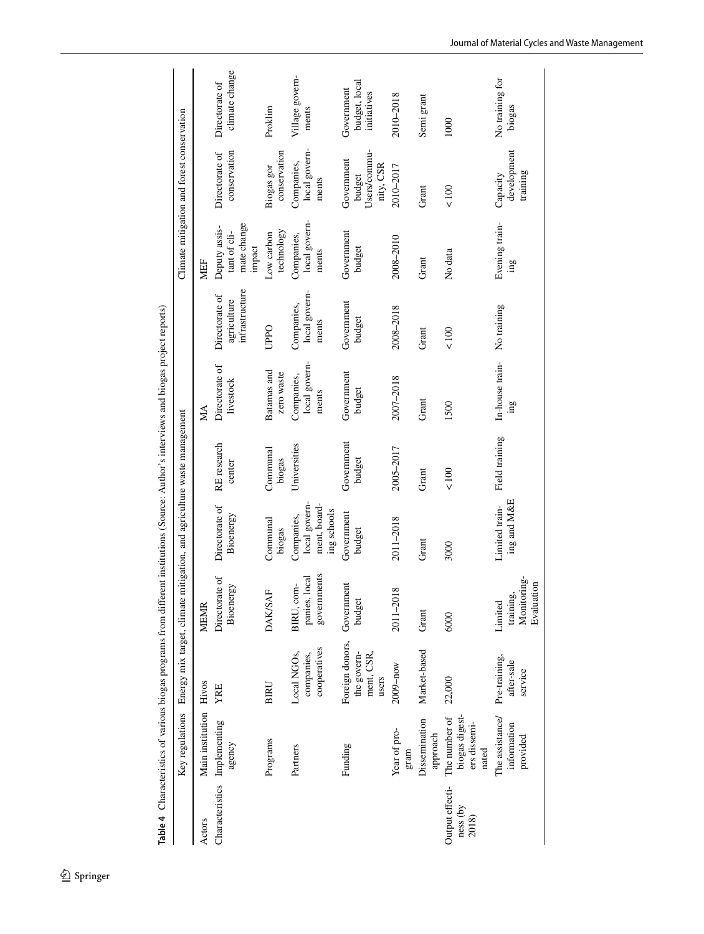<span id="page-5-0"></span>

|                                      | Table 4 Characteristics of various biogas programs from different institutions (Source: Author's interviews and biogas project reports) |                                                       |                                                   |                                                                         |                       |                                      |                                                 |                                                        |                                                   |                                            |
|--------------------------------------|-----------------------------------------------------------------------------------------------------------------------------------------|-------------------------------------------------------|---------------------------------------------------|-------------------------------------------------------------------------|-----------------------|--------------------------------------|-------------------------------------------------|--------------------------------------------------------|---------------------------------------------------|--------------------------------------------|
|                                      | Key regulations                                                                                                                         |                                                       |                                                   | Energy mix target, climate mitigation, and agriculture waste management |                       |                                      |                                                 |                                                        | Climate mitigation and forest conservation        |                                            |
| Actors                               | Main institution Hivos                                                                                                                  |                                                       | <b>MEMR</b>                                       |                                                                         |                       | МA                                   |                                                 | MEF                                                    |                                                   |                                            |
|                                      | Characteristics Implementing<br>agency                                                                                                  | YRE                                                   | Directorate of<br>Bioenergy                       | Directorate of<br>Bioenergy                                             | RE research<br>center | Directorate of<br>livestock          | infrastructure<br>Directorate of<br>agriculture | mate change<br>Deputy assis-<br>tant of cli-<br>impact | conservation<br>Directorate of                    | climate change<br>Directorate of           |
|                                      | Programs                                                                                                                                | <b>BIRU</b>                                           | <b>DAK/SAF</b>                                    | Communal<br>biogas                                                      | Communal<br>biogas    | Batamas and<br>zero waste            | <b>UPPO</b>                                     | technology<br>Low carbon                               | conservation<br>Biogas gor                        | Proklim                                    |
|                                      | Partners                                                                                                                                | cooperatives<br>Local NGOs,<br>companies,             | governments<br>panies, local<br>BIRU, com-        | ment, board-<br>local govern-<br>ing schools<br>Companies,              | Universities          | local govern-<br>Companies,<br>ments | local govern-<br>Companies,<br>ments            | local govern-<br>Companies,<br>ments                   | local govern-<br>Companies,<br>ments              | Village govern-<br>ments                   |
|                                      | Funding                                                                                                                                 | Foreign donors,<br>ment, CSR,<br>the govern-<br>users | Government<br>budget                              | Government<br>budget                                                    | Government<br>budget  | Government<br>budget                 | Government<br>budget                            | Government<br>budget                                   | Users/commu-<br>Government<br>nity, CSR<br>budget | budget, local<br>Government<br>initiatives |
|                                      | Year of pro-<br>gram                                                                                                                    | 2009-now                                              | ${}^{\circ}$<br>2011-201                          | 2011-2018                                                               | 2005-2017             | 2007-2018                            | 2008-2018                                       | 2008-2010                                              | 2010-2017                                         | 2010-2018                                  |
|                                      | Dissemination<br>approach                                                                                                               | Market-based                                          | Grant                                             | Grant                                                                   | Grant                 | Grant                                | Grant                                           | Grant                                                  | Grant                                             | Semi grant                                 |
| Output effecti-<br>ness (by<br>2018) | biogas digest-<br>The number of<br>ers dissemi-<br>nated                                                                                | 22,000                                                | 6000                                              | 3000                                                                    | < 100                 | 1500                                 | < 100                                           | No data                                                | < 100                                             | 1000                                       |
|                                      | The assistance/<br>information<br>provided                                                                                              | Pre-training,<br>after-sale<br>service                | Monitoring-<br>Evaluation<br>training,<br>Limited | ing and M&E<br>Limited train-                                           | Field training        | In-house train-<br>$\sin$            | No training                                     | Evening train-<br>gu.                                  | development<br>training<br>Capacity               | No training for<br>biogas                  |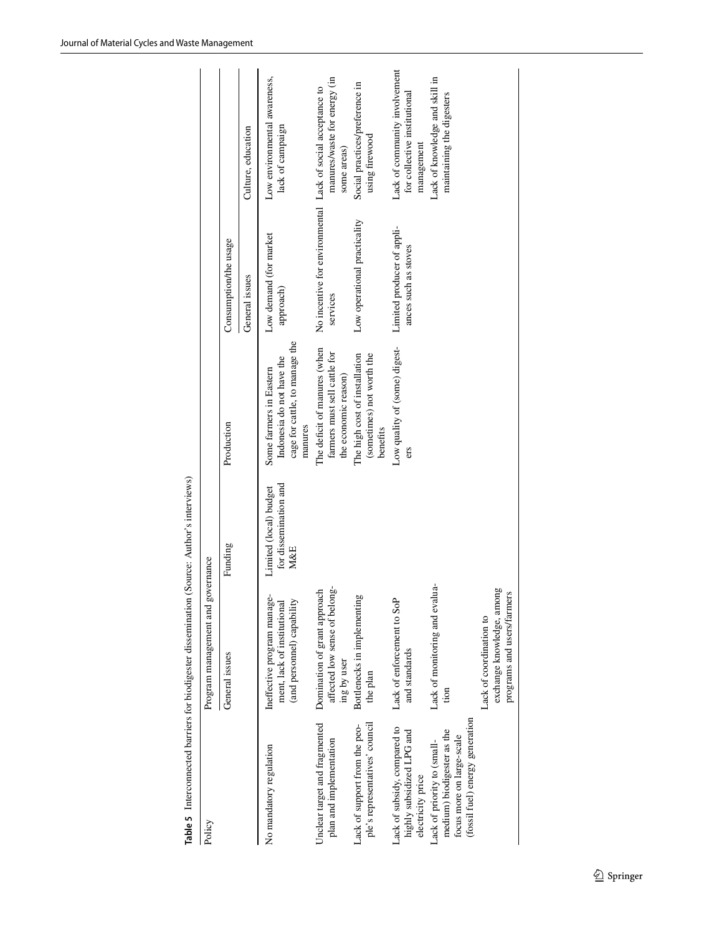<span id="page-6-0"></span>

| Table 5 Interconnected barriers for biodigester dissemination                                                             |                                                                                          | (Source: Author's interviews)                          |                                                                                                   |                                                                         |                                                                             |
|---------------------------------------------------------------------------------------------------------------------------|------------------------------------------------------------------------------------------|--------------------------------------------------------|---------------------------------------------------------------------------------------------------|-------------------------------------------------------------------------|-----------------------------------------------------------------------------|
| Policy                                                                                                                    | Program management and governance                                                        |                                                        |                                                                                                   |                                                                         |                                                                             |
|                                                                                                                           | General issues                                                                           | Funding                                                | Production                                                                                        | Consumption/the usage                                                   |                                                                             |
|                                                                                                                           |                                                                                          |                                                        |                                                                                                   | General issues                                                          | Culture, education                                                          |
| No mandatory regulation                                                                                                   | Ineffective program manage-<br>(and personnel) capability<br>ment, lack of institutional | for dissemination and<br>Limited (local) budget<br>M&E | cage for cattle, to manage the<br>Indonesia do not have the<br>Some farmers in Eastern<br>manures | Low demand (for market<br>approach)                                     | Low environmental awareness,<br>lack of campaign                            |
| Unclear target and fragmented<br>plan and implementation                                                                  | affected low sense of belong-<br>Domination of grant approach<br>ing by user             |                                                        | The deficit of manures (when<br>farmers must sell cattle for<br>the economic reason)              | No incentive for environmental Lack of social acceptance to<br>services | manures/waste for energy (in<br>some areas)                                 |
| ple's representatives' council<br>Lack of support from the peo-                                                           | Bottlenecks in implementing<br>the plan                                                  |                                                        | The high cost of installation<br>(sometimes) not worth the<br>benefits                            | Low operational practicality                                            | Social practices/preference in<br>using firewood                            |
| Lack of subsidy, compared to<br>highly subsidized LPG and<br>electricity price                                            | Lack of enforcement to SoP<br>and standards                                              |                                                        | Low quality of (some) digest-<br>ers                                                              | Limited producer of appli-<br>ances such as stoves                      | Lack of community involvement<br>for collective institutional<br>management |
| (fossil fuel) energy generation<br>medium) biodigester as the<br>focus more on large-scale<br>Lack of priority to (small- | Lack of monitoring and evalua-<br>tion                                                   |                                                        |                                                                                                   |                                                                         | Lack of knowledge and skill in<br>maintaining the digesters                 |
|                                                                                                                           | exchange knowledge, among<br>programs and users/farmers<br>Lack of coordination to       |                                                        |                                                                                                   |                                                                         |                                                                             |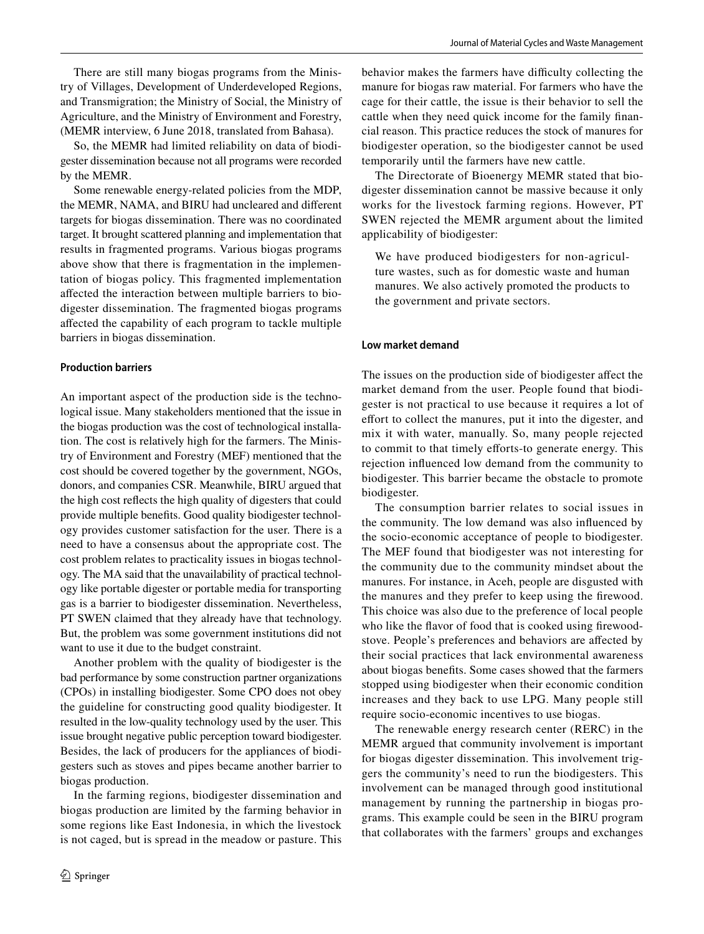There are still many biogas programs from the Ministry of Villages, Development of Underdeveloped Regions, and Transmigration; the Ministry of Social, the Ministry of Agriculture, and the Ministry of Environment and Forestry, (MEMR interview, 6 June 2018, translated from Bahasa).

So, the MEMR had limited reliability on data of biodigester dissemination because not all programs were recorded by the MEMR.

Some renewable energy-related policies from the MDP, the MEMR, NAMA, and BIRU had uncleared and diferent targets for biogas dissemination. There was no coordinated target. It brought scattered planning and implementation that results in fragmented programs. Various biogas programs above show that there is fragmentation in the implementation of biogas policy. This fragmented implementation afected the interaction between multiple barriers to biodigester dissemination. The fragmented biogas programs afected the capability of each program to tackle multiple barriers in biogas dissemination.

#### **Production barriers**

An important aspect of the production side is the technological issue. Many stakeholders mentioned that the issue in the biogas production was the cost of technological installation. The cost is relatively high for the farmers. The Ministry of Environment and Forestry (MEF) mentioned that the cost should be covered together by the government, NGOs, donors, and companies CSR. Meanwhile, BIRU argued that the high cost refects the high quality of digesters that could provide multiple benefts. Good quality biodigester technology provides customer satisfaction for the user. There is a need to have a consensus about the appropriate cost. The cost problem relates to practicality issues in biogas technology. The MA said that the unavailability of practical technology like portable digester or portable media for transporting gas is a barrier to biodigester dissemination. Nevertheless, PT SWEN claimed that they already have that technology. But, the problem was some government institutions did not want to use it due to the budget constraint.

Another problem with the quality of biodigester is the bad performance by some construction partner organizations (CPOs) in installing biodigester. Some CPO does not obey the guideline for constructing good quality biodigester. It resulted in the low-quality technology used by the user. This issue brought negative public perception toward biodigester. Besides, the lack of producers for the appliances of biodigesters such as stoves and pipes became another barrier to biogas production.

In the farming regions, biodigester dissemination and biogas production are limited by the farming behavior in some regions like East Indonesia, in which the livestock is not caged, but is spread in the meadow or pasture. This behavior makes the farmers have difficulty collecting the manure for biogas raw material. For farmers who have the cage for their cattle, the issue is their behavior to sell the cattle when they need quick income for the family fnancial reason. This practice reduces the stock of manures for biodigester operation, so the biodigester cannot be used temporarily until the farmers have new cattle.

The Directorate of Bioenergy MEMR stated that biodigester dissemination cannot be massive because it only works for the livestock farming regions. However, PT SWEN rejected the MEMR argument about the limited applicability of biodigester:

We have produced biodigesters for non-agriculture wastes, such as for domestic waste and human manures. We also actively promoted the products to the government and private sectors.

#### **Low market demand**

The issues on the production side of biodigester afect the market demand from the user. People found that biodigester is not practical to use because it requires a lot of effort to collect the manures, put it into the digester, and mix it with water, manually. So, many people rejected to commit to that timely efforts-to generate energy. This rejection infuenced low demand from the community to biodigester. This barrier became the obstacle to promote biodigester.

The consumption barrier relates to social issues in the community. The low demand was also infuenced by the socio-economic acceptance of people to biodigester. The MEF found that biodigester was not interesting for the community due to the community mindset about the manures. For instance, in Aceh, people are disgusted with the manures and they prefer to keep using the frewood. This choice was also due to the preference of local people who like the favor of food that is cooked using frewoodstove. People's preferences and behaviors are afected by their social practices that lack environmental awareness about biogas benefts. Some cases showed that the farmers stopped using biodigester when their economic condition increases and they back to use LPG. Many people still require socio-economic incentives to use biogas.

The renewable energy research center (RERC) in the MEMR argued that community involvement is important for biogas digester dissemination. This involvement triggers the community's need to run the biodigesters. This involvement can be managed through good institutional management by running the partnership in biogas programs. This example could be seen in the BIRU program that collaborates with the farmers' groups and exchanges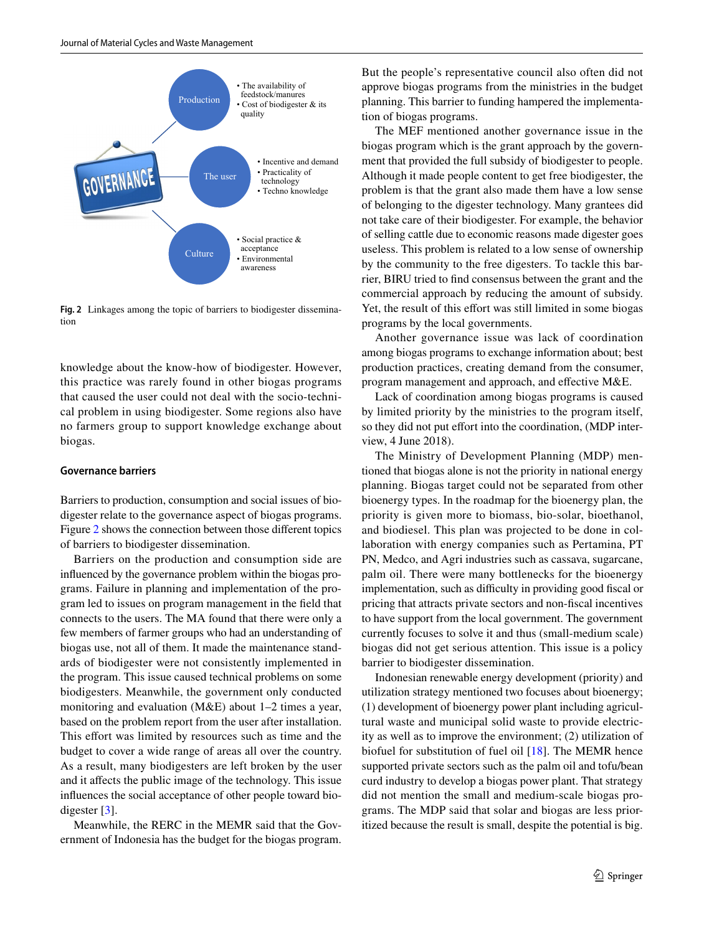

<span id="page-8-0"></span>**Fig. 2** Linkages among the topic of barriers to biodigester dissemination

knowledge about the know-how of biodigester. However, this practice was rarely found in other biogas programs that caused the user could not deal with the socio-technical problem in using biodigester. Some regions also have no farmers group to support knowledge exchange about biogas.

#### **Governance barriers**

Barriers to production, consumption and social issues of biodigester relate to the governance aspect of biogas programs. Figure [2](#page-8-0) shows the connection between those diferent topics of barriers to biodigester dissemination.

Barriers on the production and consumption side are infuenced by the governance problem within the biogas programs. Failure in planning and implementation of the program led to issues on program management in the feld that connects to the users. The MA found that there were only a few members of farmer groups who had an understanding of biogas use, not all of them. It made the maintenance standards of biodigester were not consistently implemented in the program. This issue caused technical problems on some biodigesters. Meanwhile, the government only conducted monitoring and evaluation (M&E) about 1–2 times a year, based on the problem report from the user after installation. This effort was limited by resources such as time and the budget to cover a wide range of areas all over the country. As a result, many biodigesters are left broken by the user and it afects the public image of the technology. This issue infuences the social acceptance of other people toward biodigester [[3\]](#page-11-2).

Meanwhile, the RERC in the MEMR said that the Government of Indonesia has the budget for the biogas program. But the people's representative council also often did not approve biogas programs from the ministries in the budget planning. This barrier to funding hampered the implementation of biogas programs.

The MEF mentioned another governance issue in the biogas program which is the grant approach by the government that provided the full subsidy of biodigester to people. Although it made people content to get free biodigester, the problem is that the grant also made them have a low sense of belonging to the digester technology. Many grantees did not take care of their biodigester. For example, the behavior of selling cattle due to economic reasons made digester goes useless. This problem is related to a low sense of ownership by the community to the free digesters. To tackle this barrier, BIRU tried to fnd consensus between the grant and the commercial approach by reducing the amount of subsidy. Yet, the result of this effort was still limited in some biogas programs by the local governments.

Another governance issue was lack of coordination among biogas programs to exchange information about; best production practices, creating demand from the consumer, program management and approach, and efective M&E.

Lack of coordination among biogas programs is caused by limited priority by the ministries to the program itself, so they did not put effort into the coordination, (MDP interview, 4 June 2018).

The Ministry of Development Planning (MDP) mentioned that biogas alone is not the priority in national energy planning. Biogas target could not be separated from other bioenergy types. In the roadmap for the bioenergy plan, the priority is given more to biomass, bio-solar, bioethanol, and biodiesel. This plan was projected to be done in collaboration with energy companies such as Pertamina, PT PN, Medco, and Agri industries such as cassava, sugarcane, palm oil. There were many bottlenecks for the bioenergy implementation, such as difficulty in providing good fiscal or pricing that attracts private sectors and non-fscal incentives to have support from the local government. The government currently focuses to solve it and thus (small-medium scale) biogas did not get serious attention. This issue is a policy barrier to biodigester dissemination.

Indonesian renewable energy development (priority) and utilization strategy mentioned two focuses about bioenergy; (1) development of bioenergy power plant including agricultural waste and municipal solid waste to provide electricity as well as to improve the environment; (2) utilization of biofuel for substitution of fuel oil [\[18\]](#page-11-17). The MEMR hence supported private sectors such as the palm oil and tofu/bean curd industry to develop a biogas power plant. That strategy did not mention the small and medium-scale biogas programs. The MDP said that solar and biogas are less prioritized because the result is small, despite the potential is big.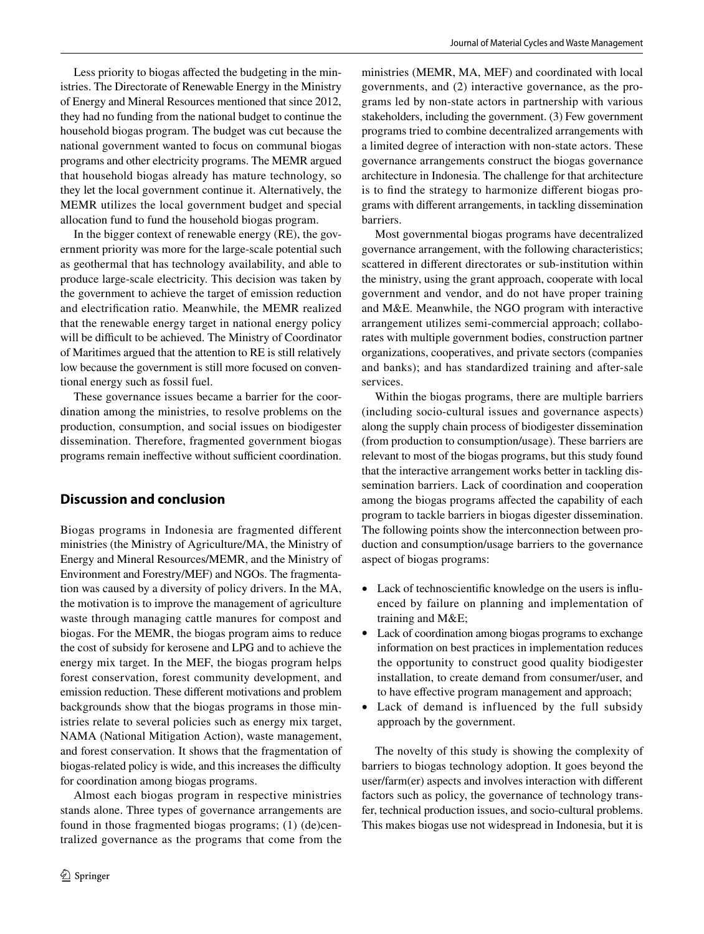Less priority to biogas afected the budgeting in the ministries. The Directorate of Renewable Energy in the Ministry of Energy and Mineral Resources mentioned that since 2012, they had no funding from the national budget to continue the household biogas program. The budget was cut because the national government wanted to focus on communal biogas programs and other electricity programs. The MEMR argued that household biogas already has mature technology, so they let the local government continue it. Alternatively, the MEMR utilizes the local government budget and special allocation fund to fund the household biogas program.

In the bigger context of renewable energy (RE), the government priority was more for the large-scale potential such as geothermal that has technology availability, and able to produce large-scale electricity. This decision was taken by the government to achieve the target of emission reduction and electrifcation ratio. Meanwhile, the MEMR realized that the renewable energy target in national energy policy will be difficult to be achieved. The Ministry of Coordinator of Maritimes argued that the attention to RE is still relatively low because the government is still more focused on conventional energy such as fossil fuel.

These governance issues became a barrier for the coordination among the ministries, to resolve problems on the production, consumption, and social issues on biodigester dissemination. Therefore, fragmented government biogas programs remain ineffective without sufficient coordination.

## **Discussion and conclusion**

Biogas programs in Indonesia are fragmented different ministries (the Ministry of Agriculture/MA, the Ministry of Energy and Mineral Resources/MEMR, and the Ministry of Environment and Forestry/MEF) and NGOs. The fragmentation was caused by a diversity of policy drivers. In the MA, the motivation is to improve the management of agriculture waste through managing cattle manures for compost and biogas. For the MEMR, the biogas program aims to reduce the cost of subsidy for kerosene and LPG and to achieve the energy mix target. In the MEF, the biogas program helps forest conservation, forest community development, and emission reduction. These diferent motivations and problem backgrounds show that the biogas programs in those ministries relate to several policies such as energy mix target, NAMA (National Mitigation Action), waste management, and forest conservation. It shows that the fragmentation of biogas-related policy is wide, and this increases the difficulty for coordination among biogas programs.

Almost each biogas program in respective ministries stands alone. Three types of governance arrangements are found in those fragmented biogas programs; (1) (de)centralized governance as the programs that come from the

ministries (MEMR, MA, MEF) and coordinated with local governments, and (2) interactive governance, as the programs led by non-state actors in partnership with various stakeholders, including the government. (3) Few government programs tried to combine decentralized arrangements with a limited degree of interaction with non-state actors. These governance arrangements construct the biogas governance architecture in Indonesia. The challenge for that architecture is to fnd the strategy to harmonize diferent biogas programs with diferent arrangements, in tackling dissemination barriers.

Most governmental biogas programs have decentralized governance arrangement, with the following characteristics; scattered in diferent directorates or sub-institution within the ministry, using the grant approach, cooperate with local government and vendor, and do not have proper training and M&E. Meanwhile, the NGO program with interactive arrangement utilizes semi-commercial approach; collaborates with multiple government bodies, construction partner organizations, cooperatives, and private sectors (companies and banks); and has standardized training and after-sale services.

Within the biogas programs, there are multiple barriers (including socio-cultural issues and governance aspects) along the supply chain process of biodigester dissemination (from production to consumption/usage). These barriers are relevant to most of the biogas programs, but this study found that the interactive arrangement works better in tackling dissemination barriers. Lack of coordination and cooperation among the biogas programs afected the capability of each program to tackle barriers in biogas digester dissemination. The following points show the interconnection between production and consumption/usage barriers to the governance aspect of biogas programs:

- Lack of technoscientifc knowledge on the users is infuenced by failure on planning and implementation of training and M&E;
- Lack of coordination among biogas programs to exchange information on best practices in implementation reduces the opportunity to construct good quality biodigester installation, to create demand from consumer/user, and to have efective program management and approach;
- Lack of demand is influenced by the full subsidy approach by the government.

The novelty of this study is showing the complexity of barriers to biogas technology adoption. It goes beyond the user/farm(er) aspects and involves interaction with diferent factors such as policy, the governance of technology transfer, technical production issues, and socio-cultural problems. This makes biogas use not widespread in Indonesia, but it is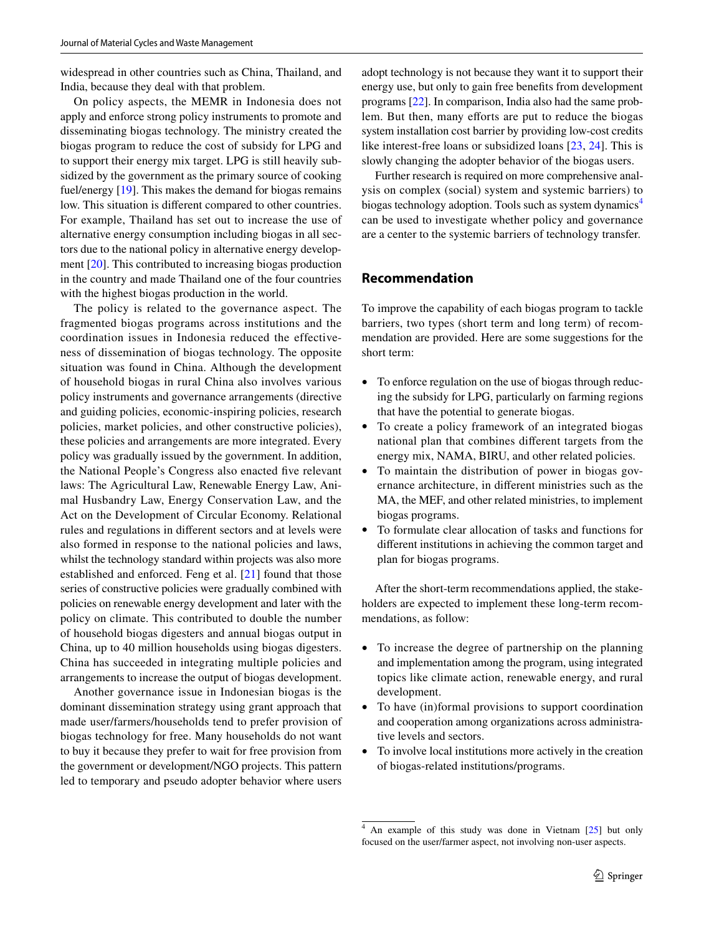widespread in other countries such as China, Thailand, and India, because they deal with that problem.

On policy aspects, the MEMR in Indonesia does not apply and enforce strong policy instruments to promote and disseminating biogas technology. The ministry created the biogas program to reduce the cost of subsidy for LPG and to support their energy mix target. LPG is still heavily subsidized by the government as the primary source of cooking fuel/energy [[19\]](#page-11-18). This makes the demand for biogas remains low. This situation is diferent compared to other countries. For example, Thailand has set out to increase the use of alternative energy consumption including biogas in all sectors due to the national policy in alternative energy development [[20\]](#page-11-19). This contributed to increasing biogas production in the country and made Thailand one of the four countries with the highest biogas production in the world.

The policy is related to the governance aspect. The fragmented biogas programs across institutions and the coordination issues in Indonesia reduced the effectiveness of dissemination of biogas technology. The opposite situation was found in China. Although the development of household biogas in rural China also involves various policy instruments and governance arrangements (directive and guiding policies, economic-inspiring policies, research policies, market policies, and other constructive policies), these policies and arrangements are more integrated. Every policy was gradually issued by the government. In addition, the National People's Congress also enacted fve relevant laws: The Agricultural Law, Renewable Energy Law, Animal Husbandry Law, Energy Conservation Law, and the Act on the Development of Circular Economy. Relational rules and regulations in diferent sectors and at levels were also formed in response to the national policies and laws, whilst the technology standard within projects was also more established and enforced. Feng et al. [[21\]](#page-11-20) found that those series of constructive policies were gradually combined with policies on renewable energy development and later with the policy on climate. This contributed to double the number of household biogas digesters and annual biogas output in China, up to 40 million households using biogas digesters. China has succeeded in integrating multiple policies and arrangements to increase the output of biogas development.

Another governance issue in Indonesian biogas is the dominant dissemination strategy using grant approach that made user/farmers/households tend to prefer provision of biogas technology for free. Many households do not want to buy it because they prefer to wait for free provision from the government or development/NGO projects. This pattern led to temporary and pseudo adopter behavior where users

adopt technology is not because they want it to support their energy use, but only to gain free benefts from development programs [\[22](#page-11-21)]. In comparison, India also had the same problem. But then, many efforts are put to reduce the biogas system installation cost barrier by providing low-cost credits like interest-free loans or subsidized loans [[23](#page-11-22), [24](#page-11-23)]. This is slowly changing the adopter behavior of the biogas users.

Further research is required on more comprehensive analysis on complex (social) system and systemic barriers) to biogas technology adoption. Tools such as system dynamics<sup>[4](#page-10-0)</sup> can be used to investigate whether policy and governance are a center to the systemic barriers of technology transfer.

# **Recommendation**

To improve the capability of each biogas program to tackle barriers, two types (short term and long term) of recommendation are provided. Here are some suggestions for the short term:

- To enforce regulation on the use of biogas through reducing the subsidy for LPG, particularly on farming regions that have the potential to generate biogas.
- To create a policy framework of an integrated biogas national plan that combines diferent targets from the energy mix, NAMA, BIRU, and other related policies.
- To maintain the distribution of power in biogas governance architecture, in diferent ministries such as the MA, the MEF, and other related ministries, to implement biogas programs.
- To formulate clear allocation of tasks and functions for diferent institutions in achieving the common target and plan for biogas programs.

After the short-term recommendations applied, the stakeholders are expected to implement these long-term recommendations, as follow:

- To increase the degree of partnership on the planning and implementation among the program, using integrated topics like climate action, renewable energy, and rural development.
- To have (in)formal provisions to support coordination and cooperation among organizations across administrative levels and sectors.
- To involve local institutions more actively in the creation of biogas-related institutions/programs.

<span id="page-10-0"></span><sup>4</sup> An example of this study was done in Vietnam [\[25\]](#page-11-24) but only focused on the user/farmer aspect, not involving non-user aspects.